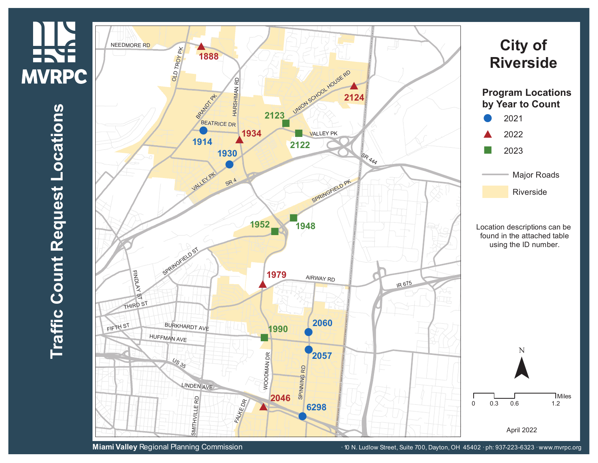## <u>III.</u> **MVRPC**